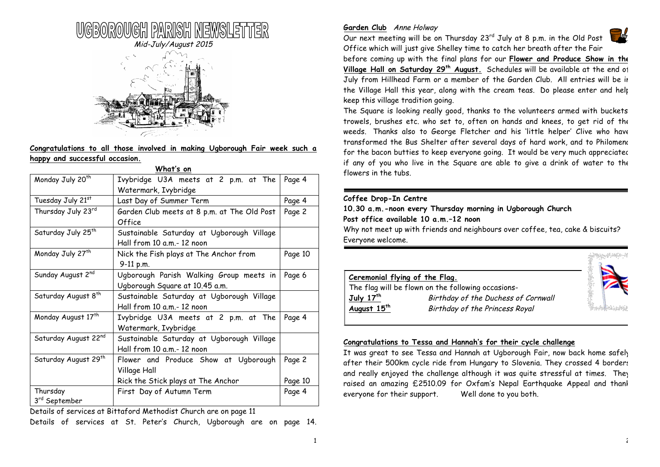

# **Congratulations to all those involved in making Ugborough Fair week such a happy and successful occasion.**

|                                       | What's on                                                                 |         |
|---------------------------------------|---------------------------------------------------------------------------|---------|
| Monday July 20 <sup>th</sup>          | Ivybridge U3A meets at 2 p.m. at The<br>Watermark, Ivybridge              | Page 4  |
| Tuesday July 21st                     | Last Day of Summer Term                                                   | Page 4  |
| Thursday July 23rd                    | Garden Club meets at 8 p.m. at The Old Post<br>Office                     | Page 2  |
| Saturday July 25 <sup>th</sup>        | Sustainable Saturday at Ugborough Village<br>Hall from 10 a.m.- 12 noon   |         |
| Monday July 27 <sup>th</sup>          | Nick the Fish plays at The Anchor from<br>9-11 p.m.                       | Page 10 |
| Sunday August 2nd                     | Ugborough Parish Walking Group meets in<br>Ugborough Square at 10.45 a.m. | Page 6  |
| Saturday August 8 <sup>th</sup>       | Sustainable Saturday at Ugborough Village<br>Hall from 10 a.m.- 12 noon   |         |
| Monday August 17 <sup>th</sup>        | Ivybridge U3A meets at 2 p.m. at The<br>Watermark, Ivybridge              | Page 4  |
| Saturday August 22nd                  | Sustainable Saturday at Ugborough Village<br>Hall from 10 a.m.- 12 noon   |         |
| Saturday August 29th                  | Flower and Produce Show at Ugborough<br>Village Hall                      | Page 2  |
|                                       | Rick the Stick plays at The Anchor                                        | Page 10 |
| Thursday<br>3 <sup>rd</sup> September | First Day of Autumn Term                                                  | Page 4  |

Details of services at Bittaford Methodist Church are on page 11

Details of services at St. Peter's Church, Ugborough are on page 14.

## **Garden Club** Anne Holway

Our next meeting will be on Thursday 23<sup>rd</sup> July at 8 p.m. in the Old Post Office which will just give Shelley time to catch her breath after the Fair



before coming up with the final plans for our **Flower and Produce Show in the Village Hall on Saturday 29th August.** Schedules will be available at the end of July from Hillhead Farm or a member of the Garden Club. All entries will be in the Village Hall this year, along with the cream teas. Do please enter and help keep this village tradition going.

The Square is looking really good, thanks to the volunteers armed with buckets, trowels, brushes etc. who set to, often on hands and knees, to get rid of the weeds. Thanks also to George Fletcher and his 'little helper' Clive who have transformed the Bus Shelter after several days of hard work, and to Philomena for the bacon butties to keep everyone going. It would be very much appreciated if any of you who live in the Square are able to give a drink of water to the flowers in the tubs.

## **Coffee Drop-In Centre**

**10.30 a.m.-noon every Thursday morning in Ugborough Church Post office available 10 a.m.–12 noon**

Why not meet up with friends and neighbours over coffee, tea, cake & biscuits? Everyone welcome.



## **Congratulations to Tessa and Hannah's for their cycle challenge**

It was great to see Tessa and Hannah at Ugborough Fair, now back home safely after their 500km cycle ride from Hungary to Slovenia. They crossed 4 borders and really enjoyed the challenge although it was quite stressful at times. They raised an amazing £2510.09 for Oxfam's Nepal Earthquake Appeal and thank everyone for their support. Well done to you both.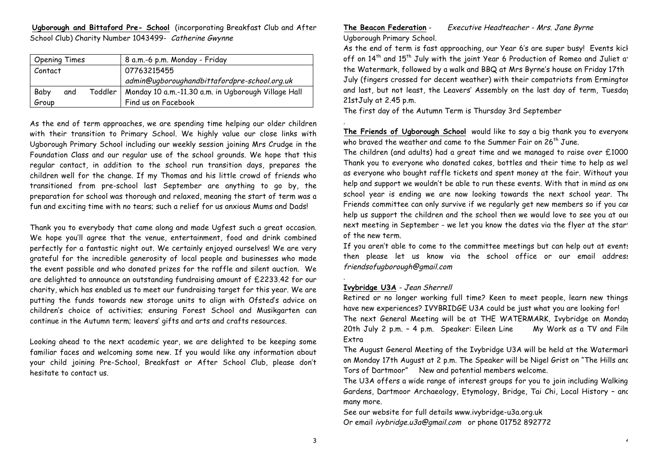**Ugborough and Bittaford Pre- School** (incorporating Breakfast Club and After School Club) Charity Number 1043499- Catherine Gwynne

| <b>Opening Times</b> |     | 8 a.m.-6 p.m. Monday - Friday                                 |
|----------------------|-----|---------------------------------------------------------------|
| Contact              |     | 07763215455                                                   |
|                      |     | admin@ugboroughandbittafordpre-school.org.uk                  |
| Baby                 | and | Toddler   Monday 10 a.m.-11.30 a.m. in Ugborough Village Hall |
| Group                |     | Find us on Facebook                                           |

As the end of term approaches, we are spending time helping our older children with their transition to Primary School. We highly value our close links with Ugborough Primary School including our weekly session joining Mrs Crudge in the Foundation Class and our regular use of the school grounds. We hope that this regular contact, in addition to the school run transition days, prepares the children well for the change. If my Thomas and his little crowd of friends who transitioned from pre-school last September are anything to go by, the preparation for school was thorough and relaxed, meaning the start of term was a fun and exciting time with no tears; such a relief for us anxious Mums and Dads!

Thank you to everybody that came along and made Ugfest such a great occasion. We hope you'll agree that the venue, entertainment, food and drink combined perfectly for a fantastic night out. We certainly enjoyed ourselves! We are very grateful for the incredible generosity of local people and businesses who made the event possible and who donated prizes for the raffle and silent auction. We are delighted to announce an outstanding fundraising amount of £2233.42 for our charity, which has enabled us to meet our fundraising target for this year. We are putting the funds towards new storage units to align with Ofsted's advice on children's choice of activities; ensuring Forest School and Musikgarten can continue in the Autumn term; leavers' gifts and arts and crafts resources.

Looking ahead to the next academic year, we are delighted to be keeping some familiar faces and welcoming some new. If you would like any information about your child joining Pre-School, Breakfast or After School Club, please don't hesitate to contact us.

# **The Beacon Federation** - Executive Headteacher - Mrs. Jane Byrne Ugborough Primary School.

As the end of term is fast approaching, our Year 6's are super busy! Events kick off on 14<sup>th</sup> and 15<sup>th</sup> July with the joint Year 6 Production of Romeo and Juliet at the Watermark, followed by a walk and BBQ at Mrs Byrne's house on Friday 17th July (fingers crossed for decent weather) with their compatriots from Ermington and last, but not least, the Leavers' Assembly on the last day of term, Tuesday 21stJuly at 2.45 p.m.

The first day of the Autumn Term is Thursday 3rd September

**The Friends of Ugborough School** would like to say a big thank you to everyone who braved the weather and came to the Summer Fair on  $26<sup>th</sup>$  June.

The children (and adults) had a great time and we managed to raise over £1000. Thank you to everyone who donated cakes, bottles and their time to help as well as everyone who bought raffle tickets and spent money at the fair. Without your help and support we wouldn't be able to run these events. With that in mind as one school year is ending we are now looking towards the next school year. The Friends committee can only survive if we regularly get new members so if you can help us support the children and the school then we would love to see you at our next meeting in September - we let you know the dates via the flyer at the start of the new term.

If you aren't able to come to the committee meetings but can help out at events then please let us know via the school office or our email address friendsofugborough@gmail.com

## **Ivybridge U3A** - Jean Sherrell

.

.

Retired or no longer working full time? Keen to meet people, learn new things, have new experiences? IVYBRIDGE U3A could be just what you are looking for! The next General Meeting will be at THE WATERMARK, Ivybridge on Monday 20th July 2 p.m. – 4 p.m. Speaker: Eileen Line My Work as a TV and Film Extra

The August General Meeting of the Ivybridge U3A will be held at the Watermark on Monday 17th August at 2 p.m. The Speaker will be Nigel Grist on "The Hills and Tors of Dartmoor" New and potential members welcome.

The U3A offers a wide range of interest groups for you to join including Walking, Gardens, Dartmoor Archaeology, Etymology, Bridge, Tai Chi, Local History - and many more.

See our website for full details www.ivybridge-u3a.org.uk Or email ivybridge.u3a@gmail.com or phone 01752 892772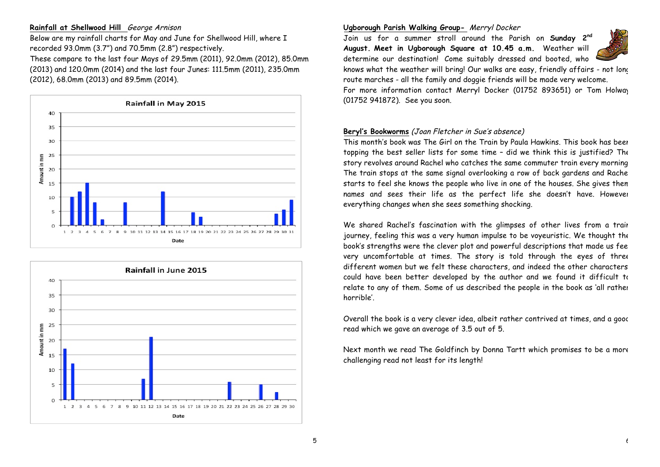## **Rainfall at Shellwood Hill** George Arnison

Below are my rainfall charts for May and June for Shellwood Hill, where I recorded 93.0mm (3.7") and 70.5mm (2.8") respectively.

These compare to the last four Mays of 29.5mm (2011), 92.0mm (2012), 85.0mm (2013) and 120.0mm (2014) and the last four Junes: 111.5mm (2011), 235.0mm (2012), 68.0mm (2013) and 89.5mm (2014).





### **Ugborough Parish Walking Group-** Merryl Docker

Join us for a summer stroll around the Parish on **Sunday 2nd August. Meet in Ugborough Square at 10.45 a.m.** Weather will determine our destination! Come suitably dressed and booted, who



knows what the weather will bring! Our walks are easy, friendly affairs - not long route marches - all the family and doggie friends will be made very welcome. For more information contact Merryl Docker (01752 893651) or Tom Holway (01752 941872). See you soon.

## **Beryl's Bookworms** (Joan Fletcher in Sue's absence)

This month's book was The Girl on the Train by Paula Hawkins. This book has been topping the best seller lists for some time – did we think this is justified? The story revolves around Rachel who catches the same commuter train every morning. The train stops at the same signal overlooking a row of back gardens and Rache starts to feel she knows the people who live in one of the houses. She gives them names and sees their life as the perfect life she doesn't have. However everything changes when she sees something shocking.

We shared Rachel's fascination with the glimpses of other lives from a train journey, feeling this was a very human impulse to be voyeuristic. We thought the book's strengths were the clever plot and powerful descriptions that made us feel very uncomfortable at times. The story is told through the eyes of three different women but we felt these characters, and indeed the other characters, could have been better developed by the author and we found it difficult to relate to any of them. Some of us described the people in the book as 'all rather horrible'.

Overall the book is a very clever idea, albeit rather contrived at times, and a good read which we gave an average of 3.5 out of 5.

Next month we read The Goldfinch by Donna Tartt which promises to be a more challenging read not least for its length!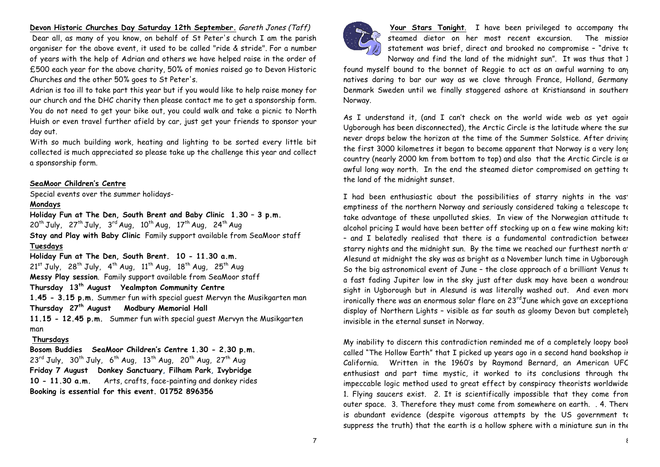### **Devon Historic Churches Day Saturday 12th September.** Gareth Jones (Taff)

Dear all, as many of you know, on behalf of St Peter's church I am the parish organiser for the above event, it used to be called "ride & stride". For a number of years with the help of Adrian and others we have helped raise in the order of £500 each year for the above charity, 50% of monies raised go to Devon Historic Churches and the other 50% goes to St Peter's.

Adrian is too ill to take part this year but if you would like to help raise money for our church and the DHC charity then please contact me to get a sponsorship form. You do not need to get your bike out, you could walk and take a picnic to North Huish or even travel further afield by car, just get your friends to sponsor your day out.

With so much building work, heating and lighting to be sorted every little bit collected is much appreciated so please take up the challenge this year and collect a sponsorship form.

#### **SeaMoor Children's Centre**

Special events over the summer holidays-

#### **Mondays**

**Holiday Fun at The Den, South Brent and Baby Clinic 1.30 – 3 p.m.**  $20^{\text{th}}$  July,  $27^{\text{th}}$  July,  $3^{\text{rd}}$  Aug,  $10^{\text{th}}$  Aug,  $17^{\text{th}}$  Aug,  $24^{\text{th}}$  Aug **Stay and Play with Baby Clinic** Family support available from SeaMoor staff **Tuesdays Holiday Fun at The Den, South Brent. 10 - 11.30 a.m.**

 $21^{st}$  July,  $28^{th}$  July,  $4^{th}$  Aug,  $11^{th}$  Aug,  $18^{th}$  Aug,  $25^{th}$  Aug **Messy Play session**. Family support available from SeaMoor staff **Thursday 13th August Yealmpton Community Centre 1.45 - 3.15 p.m.** Summer fun with special guest Mervyn the Musikgarten man **Thursday 27th August Modbury Memorial Hall 11.15 - 12.45 p.m.** Summer fun with special guest Mervyn the Musikgarten man

#### **Thursdays**

**Bosom Buddies SeaMoor Children's Centre 1.30 - 2.30 p.m.**  $23^{\text{rd}}$  July,  $30^{\text{th}}$  July,  $6^{\text{th}}$  Aug,  $13^{\text{th}}$  Aug,  $20^{\text{th}}$  Aug,  $27^{\text{th}}$  Aug **Friday 7 August Donkey Sanctuary, Filham Park, Ivybridge 10 - 11.30 a.m.** Arts, crafts, face-painting and donkey rides **Booking is essential for this event. 01752 896356**



**Your Stars Tonight**. I have been privileged to accompany the steamed dietor on her most recent excursion. The mission statement was brief, direct and brooked no compromise – "drive to Norway and find the land of the midnight sun". It was thus that I

found myself bound to the bonnet of Reggie to act as an awful warning to any natives daring to bar our way as we clove through France, Holland, Germany Denmark Sweden until we finally staggered ashore at Kristiansand in southerr Norway.

As I understand it, (and I can't check on the world wide web as yet again Ugborough has been disconnected), the Arctic Circle is the latitude where the sun never drops below the horizon at the time of the Summer Solstice. After driving the first 3000 kilometres it began to become apparent that Norway is a very long country (nearly 2000 km from bottom to top) and also that the Arctic Circle is an awful long way north. In the end the steamed dietor compromised on getting to the land of the midnight sunset.

I had been enthusiastic about the possibilities of starry nights in the vast emptiness of the northern Norway and seriously considered taking a telescope to take advantage of these unpolluted skies. In view of the Norwegian attitude to alcohol pricing I would have been better off stocking up on a few wine making kits – and I belatedly realised that there is a fundamental contradiction between starry nights and the midnight sun. By the time we reached our furthest north at Alesund at midnight the sky was as bright as a November lunch time in Ugborough. So the big astronomical event of June – the close approach of a brilliant Venus to a fast fading Jupiter low in the sky just after dusk may have been a wondrous sight in Ugborough but in Alesund is was literally washed out. And even more ironically there was an enormous solar flare on  $23^{\text{rd}}$ June which gave an exceptional display of Northern Lights – visible as far south as gloomy Devon but completely invisible in the eternal sunset in Norway.

My inability to discern this contradiction reminded me of a completely loopy book called "The Hollow Earth" that I picked up years ago in a second hand bookshop in California. Written in the 1960's by Raymond Bernard, an American UFO enthusiast and part time mystic, it worked to its conclusions through the impeccable logic method used to great effect by conspiracy theorists worldwide. 1. Flying saucers exist. 2. It is scientifically impossible that they come from outer space. 3. Therefore they must come from somewhere on earth. . 4. There is abundant evidence (despite vigorous attempts by the US government to suppress the truth) that the earth is a hollow sphere with a miniature sun in the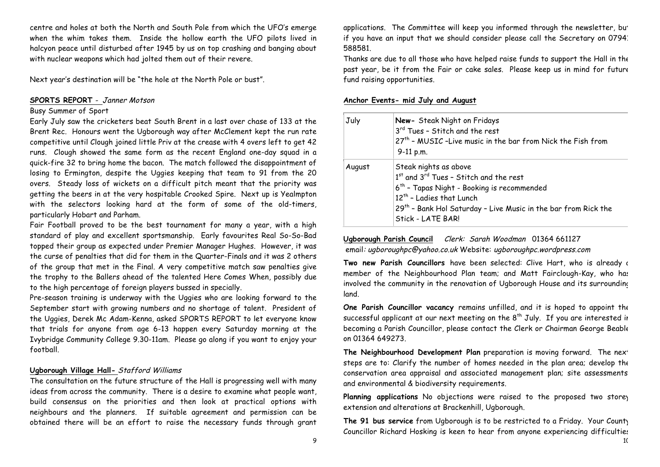centre and holes at both the North and South Pole from which the UFO's emerge when the whim takes them. Inside the hollow earth the UFO pilots lived in halcyon peace until disturbed after 1945 by us on top crashing and banging about with nuclear weapons which had jolted them out of their revere.

Next year's destination will be "the hole at the North Pole or bust".

### **SPORTS REPORT** - Janner Motson

#### Busy Summer of Sport

Early July saw the cricketers beat South Brent in a last over chase of 133 at the Brent Rec. Honours went the Ugborough way after McClement kept the run rate competitive until Clough joined little Priv at the crease with 4 overs left to get 42 runs. Clough showed the same form as the recent England one-day squad in a quick-fire 32 to bring home the bacon. The match followed the disappointment of losing to Ermington, despite the Uggies keeping that team to 91 from the 20 overs. Steady loss of wickets on a difficult pitch meant that the priority was getting the beers in at the very hospitable Crooked Spire. Next up is Yealmpton with the selectors looking hard at the form of some of the old-timers, particularly Hobart and Parham.

Fair Football proved to be the best tournament for many a year, with a high standard of play and excellent sportsmanship. Early favourites Real So-So-Bad topped their group as expected under Premier Manager Hughes. However, it was the curse of penalties that did for them in the Quarter-Finals and it was 2 others of the group that met in the Final. A very competitive match saw penalties give the trophy to the Ballers ahead of the talented Here Comes When, possibly due to the high percentage of foreign players bussed in specially.

Pre-season training is underway with the Uggies who are looking forward to the September start with growing numbers and no shortage of talent. President of the Uggies, Derek Mc Adam-Kenna, asked SPORTS REPORT to let everyone know that trials for anyone from age 6-13 happen every Saturday morning at the Ivybridge Community College 9.30-11am. Please go along if you want to enjoy your football.

### **Ugborough Village Hall-** Stafford Williams

The consultation on the future structure of the Hall is progressing well with many ideas from across the community. There is a desire to examine what people want, build consensus on the priorities and then look at practical options with neighbours and the planners. If suitable agreement and permission can be obtained there will be an effort to raise the necessary funds through grant

applications. The Committee will keep you informed through the newsletter, but if you have an input that we should consider please call the Secretary on 07941 588581.

Thanks are due to all those who have helped raise funds to support the Hall in the past year, be it from the Fair or cake sales. Please keep us in mind for future fund raising opportunities.

#### **Anchor Events- mid July and August**

| July   | New- Steak Night on Fridays<br>3 <sup>rd</sup> Tues - Stitch and the rest<br>27 <sup>th</sup> - MUSIC -Live music in the bar from Nick the Fish from<br>9-11 p.m.                                                                                       |
|--------|---------------------------------------------------------------------------------------------------------------------------------------------------------------------------------------------------------------------------------------------------------|
| August | Steak nights as above<br>1st and 3rd Tues - Stitch and the rest<br>6 <sup>th</sup> - Tapas Night - Booking is recommended<br>$12th$ - Ladies that Lunch<br>$29th$ - Bank Hol Saturday - Live Music in the bar from Rick the<br><b>Stick - LATE BAR!</b> |

**Ugborough Parish Council** Clerk: Sarah Woodman 01364 661127 email: ugboroughpc@yahoo.co.uk Website: ugboroughpc.wordpress.com

Two new Parish Councillors have been selected: Clive Hart, who is already a member of the Neighbourhood Plan team; and Matt Fairclough-Kay, who has involved the community in the renovation of Ugborough House and its surrounding land.

**One Parish Councillor vacancy** remains unfilled, and it is hoped to appoint the successful applicant at our next meeting on the  $8<sup>th</sup>$  July. If you are interested in becoming a Parish Councillor, please contact the Clerk or Chairman George Beable on 01364 649273.

The Neighbourhood Development Plan preparation is moving forward. The next steps are to: Clarify the number of homes needed in the plan area; develop the conservation area appraisal and associated management plan; site assessments; and environmental & biodiversity requirements.

Planning applications No objections were raised to the proposed two storey extension and alterations at Brackenhill, Ugborough.

**The 91 bus service** from Ugborough is to be restricted to a Friday. Your County Councillor Richard Hosking is keen to hear from anyone experiencing difficulties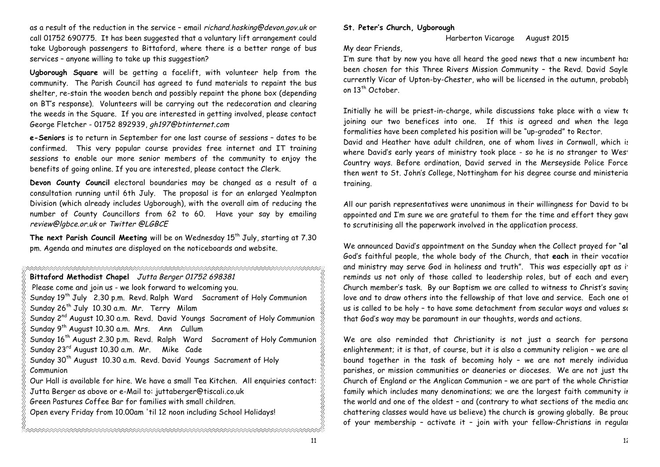as a result of the reduction in the service – email richard.hosking@devon.gov.uk or call 01752 690775. It has been suggested that a voluntary lift arrangement could take Ugborough passengers to Bittaford, where there is a better range of bus services – anyone willing to take up this suggestion?

**Ugborough Square** will be getting a facelift, with volunteer help from the community. The Parish Council has agreed to fund materials to repaint the bus shelter, re-stain the wooden bench and possibly repaint the phone box (depending on BT's response). Volunteers will be carrying out the redecoration and clearing the weeds in the Square. If you are interested in getting involved, please contact George Fletcher - 01752 892939, gh197@btinternet.com

**e-Seniors** is to return in September for one last course of sessions – dates to be confirmed. This very popular course provides free internet and IT training sessions to enable our more senior members of the community to enjoy the benefits of going online. If you are interested, please contact the Clerk.

**Devon County Council** electoral boundaries may be changed as a result of a consultation running until 6th July. The proposal is for an enlarged Yealmpton Division (which already includes Ugborough), with the overall aim of reducing the number of County Councillors from 62 to 60. Have your say by emailing review@lgbce.or.uk or Twitter @LGBCE

The next Parish Council Meeting will be on Wednesday 15<sup>th</sup> July, starting at 7.30 pm. Agenda and minutes are displayed on the noticeboards and website.

| Bittaford Methodist Chapel Jutta Berger 01752 698381                                    |
|-----------------------------------------------------------------------------------------|
| Please come and join us - we look forward to welcoming you.                             |
| Sunday 19 <sup>th</sup> July 2.30 p.m. Revd. Ralph Ward Sacrament of Holy Communion     |
| Sunday 26 <sup>th</sup> July 10.30 a.m. Mr. Terry Milam                                 |
| Sunday 2 <sup>nd</sup> August 10.30 a.m. Revd. David Youngs Sacrament of Holy Communion |
| Sunday 9 <sup>th</sup> August 10.30 a.m. Mrs. Ann Cullum                                |
| Sunday 16 <sup>th</sup> August 2.30 p.m. Revd. Ralph Ward Sacrament of Holy Communion   |
| Sunday 23 <sup>rd</sup> August 10.30 a.m. Mr. Mike Cade                                 |
| Sunday 30 <sup>th</sup> August 10.30 a.m. Revd. David Youngs Sacrament of Holy          |
| Communion                                                                               |
| Our Hall is available for hire. We have a small Tea Kitchen. All enquiries contact:     |
| Jutta Berger as above or e-Mail to: juttaberger@tiscali.co.uk                           |
| Green Pastures Coffee Bar for families with small children.                             |
| Open every Friday from 10.00am 'til 12 noon including School Holidays!                  |
|                                                                                         |
|                                                                                         |

### **St. Peter's Church, Ugborough**

Harberton Vicarage August 2015

My dear Friends,

I'm sure that by now you have all heard the good news that a new incumbent has been chosen for this Three Rivers Mission Community – the Revd. David Sayle, currently Vicar of Upton-by-Chester, who will be licensed in the autumn, probably on 13<sup>th</sup> October.

Initially he will be priest-in-charge, while discussions take place with a view to joining our two benefices into one. If this is agreed and when the legal formalities have been completed his position will be "up-graded" to Rector.

David and Heather have adult children, one of whom lives in Cornwall, which is where David's early years of ministry took place - so he is no stranger to West Country ways. Before ordination, David served in the Merseyside Police Force, then went to St. John's College, Nottingham for his degree course and ministerial training.

All our parish representatives were unanimous in their willingness for David to be appointed and I'm sure we are grateful to them for the time and effort they gave to scrutinising all the paperwork involved in the application process.

We announced David's appointment on the Sunday when the Collect prayed for "**all** God's faithful people, the whole body of the Church, that **each** in their vocation and ministry may serve God in holiness and truth". This was especially apt as it reminds us not only of those called to leadership roles, but of each and every Church member's task. By our Baptism we are called to witness to Christ's saving love and to draw others into the fellowship of that love and service. Each one of us is called to be holy - to have some detachment from secular ways and values so that God's way may be paramount in our thoughts, words and actions.

We are also reminded that Christianity is not just a search for personal enlightenment; it is that, of course, but it is also a community religion – we are all bound together in the task of becoming holy - we are not merely individual parishes, or mission communities or deaneries or dioceses. We are not just the Church of England or the Anglican Communion – we are part of the whole Christian family which includes many denominations; we are the largest faith community in the world and one of the oldest - and (contrary to what sections of the media and chattering classes would have us believe) the church **is** growing globally. Be proud of your membership – activate it – join with your fellow-Christians in regular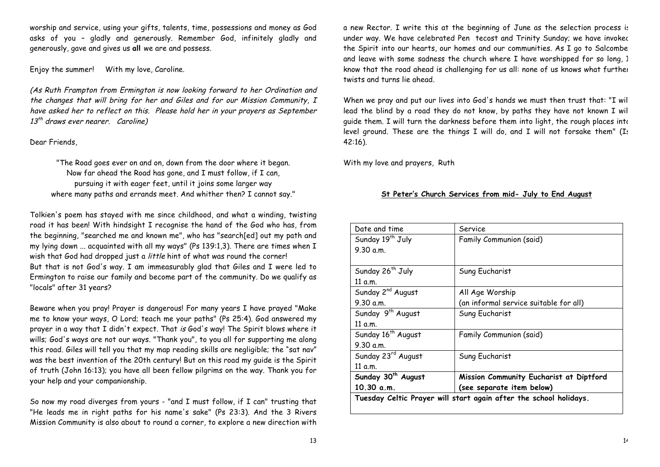worship and service, using your gifts, talents, time, possessions and money as God asks of you – gladly and generously. Remember God, infinitely gladly and generously, gave and gives us **all** we are and possess.

Enjoy the summer! With my love, Caroline.

(As Ruth Frampton from Ermington is now looking forward to her Ordination and the changes that will bring for her and Giles and for our Mission Community, I have asked her to reflect on this. Please hold her in your prayers as September  $13^{th}$  draws ever nearer. Caroline)

## Dear Friends,

"The Road goes ever on and on, down from the door where it began. Now far ahead the Road has gone, and I must follow, if I can, pursuing it with eager feet, until it joins some larger way where many paths and errands meet. And whither then? I cannot say."

Tolkien's poem has stayed with me since childhood, and what a winding, twisting road it has been! With hindsight I recognise the hand of the God who has, from the beginning, "searched me and known me", who has "search[ed] out my path and my lying down ... acquainted with all my ways" (Ps 139:1,3). There are times when I wish that God had dropped just a little hint of what was round the corner! But that is not God's way. I am immeasurably glad that Giles and I were led to Ermington to raise our family and become part of the community. Do we qualify as "locals" after 31 years?

Beware when you pray! Prayer is dangerous! For many years I have prayed "Make me to know your ways, O Lord; teach me your paths" (Ps 25:4). God answered my prayer in a way that I didn't expect. That is God's way! The Spirit blows where it wills; God's ways are not our ways. "Thank you", to you all for supporting me along this road. Giles will tell you that my map reading skills are negligible; the "sat nav" was the best invention of the 20th century! But on this road my guide is the Spirit of truth (John 16:13); you have all been fellow pilgrims on the way. Thank you for your help and your companionship.

So now my road diverges from yours - "and I must follow, if I can" trusting that "He leads me in right paths for his name's sake" (Ps 23:3). And the 3 Rivers Mission Community is also about to round a corner, to explore a new direction with a new Rector. I write this at the beginning of June as the selection process is under way. We have celebrated Pen tecost and Trinity Sunday; we have invoked the Spirit into our hearts, our homes and our communities. As I go to Salcombe, and leave with some sadness the church where I have worshipped for so long, I know that the road ahead is challenging for us all: none of us knows what further twists and turns lie ahead.

When we pray and put our lives into God's hands we must then trust that: "I will lead the blind by a road they do not know, by paths they have not known I will guide them. I will turn the darkness before them into light, the rough places into level ground. These are the things I will do, and I will not forsake them" (Is 42:16).

With my love and prayers, Ruth

# **St Peter's Church Services from mid- July to End August**

| Date and time                  | Service                                 |
|--------------------------------|-----------------------------------------|
| Sunday 19 <sup>th</sup> July   | Family Communion (said)                 |
| 9.30 a.m.                      |                                         |
|                                |                                         |
| Sunday 26 <sup>th</sup> July   | Sung Eucharist                          |
| 11 a.m.                        |                                         |
| Sunday 2 <sup>nd</sup> August  | All Age Worship                         |
| 9.30 a.m.                      | (an informal service suitable for all)  |
| Sunday 9 <sup>th</sup> August  | Sung Eucharist                          |
| 11 a.m.                        |                                         |
| Sunday 16 <sup>th</sup> August | Family Communion (said)                 |
| 9.30 a.m.                      |                                         |
| Sunday 23rd August             | Sung Eucharist                          |
| 11 a.m.                        |                                         |
| Sunday 30 <sup>th</sup> August | Mission Community Eucharist at Diptford |
| 10.30 a.m.                     | (see separate item below)               |